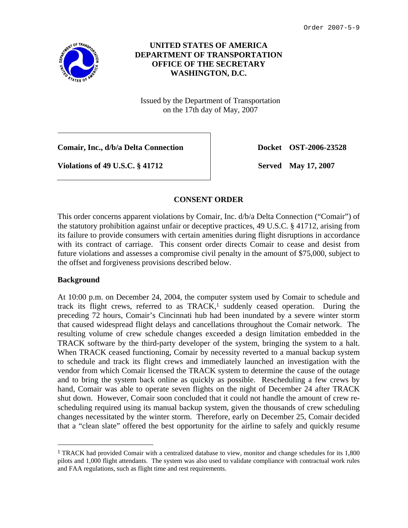

# **UNITED STATES OF AMERICA DEPARTMENT OF TRANSPORTATION OFFICE OF THE SECRETARY WASHINGTON, D.C.**

Issued by the Department of Transportation on the 17th day of May, 2007

**Comair, Inc., d/b/a Delta Connection**  Docket OST-2006-23528

**Violations of 49 U.S.C. § 41712** Served May 17, 2007

## **CONSENT ORDER**

This order concerns apparent violations by Comair, Inc. d/b/a Delta Connection ("Comair") of the statutory prohibition against unfair or deceptive practices, 49 U.S.C. § 41712, arising from its failure to provide consumers with certain amenities during flight disruptions in accordance with its contract of carriage. This consent order directs Comair to cease and desist from future violations and assesses a compromise civil penalty in the amount of \$75,000, subject to the offset and forgiveness provisions described below.

### **Background**

At 10:00 p.m. on December 24, 2004, the computer system used by Comair to schedule and track its flight crews, referred to as  $TRACK$ ,<sup>1</sup> suddenly ceased operation. During the preceding 72 hours, Comair's Cincinnati hub had been inundated by a severe winter storm that caused widespread flight delays and cancellations throughout the Comair network. The resulting volume of crew schedule changes exceeded a design limitation embedded in the TRACK software by the third-party developer of the system, bringing the system to a halt. When TRACK ceased functioning, Comair by necessity reverted to a manual backup system to schedule and track its flight crews and immediately launched an investigation with the vendor from which Comair licensed the TRACK system to determine the cause of the outage and to bring the system back online as quickly as possible. Rescheduling a few crews by hand, Comair was able to operate seven flights on the night of December 24 after TRACK shut down. However, Comair soon concluded that it could not handle the amount of crew rescheduling required using its manual backup system, given the thousands of crew scheduling changes necessitated by the winter storm. Therefore, early on December 25, Comair decided that a "clean slate" offered the best opportunity for the airline to safely and quickly resume

<sup>&</sup>lt;sup>1</sup> TRACK had provided Comair with a centralized database to view, monitor and change schedules for its 1,800 pilots and 1,000 flight attendants. The system was also used to validate compliance with contractual work rules and FAA regulations, such as flight time and rest requirements.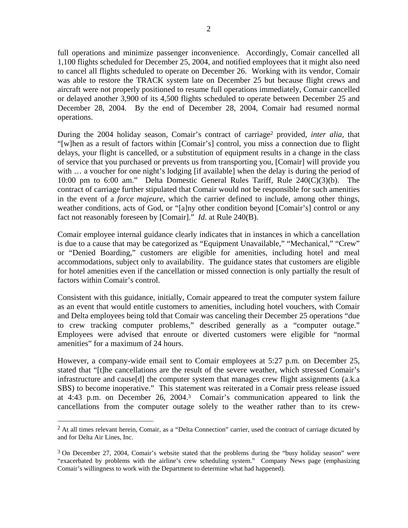full operations and minimize passenger inconvenience. Accordingly, Comair cancelled all 1,100 flights scheduled for December 25, 2004, and notified employees that it might also need to cancel all flights scheduled to operate on December 26. Working with its vendor, Comair was able to restore the TRACK system late on December 25 but because flight crews and aircraft were not properly positioned to resume full operations immediately, Comair cancelled or delayed another 3,900 of its 4,500 flights scheduled to operate between December 25 and December 28, 2004. By the end of December 28, 2004, Comair had resumed normal operations.

During the 2004 holiday season, Comair's contract of carriage2 provided, *inter alia*, that "[w]hen as a result of factors within [Comair's] control, you miss a connection due to flight delays, your flight is cancelled, or a substitution of equipment results in a change in the class of service that you purchased or prevents us from transporting you, [Comair] will provide you with ... a voucher for one night's lodging [if available] when the delay is during the period of 10:00 pm to 6:00 am." Delta Domestic General Rules Tariff, Rule 240(C)(3)(b). The contract of carriage further stipulated that Comair would not be responsible for such amenities in the event of a *force majeure*, which the carrier defined to include, among other things, weather conditions, acts of God, or "[a]ny other condition beyond [Comair's] control or any fact not reasonably foreseen by [Comair]." *Id.* at Rule 240(B).

Comair employee internal guidance clearly indicates that in instances in which a cancellation is due to a cause that may be categorized as "Equipment Unavailable," "Mechanical," "Crew" or "Denied Boarding," customers are eligible for amenities, including hotel and meal accommodations, subject only to availability. The guidance states that customers are eligible for hotel amenities even if the cancellation or missed connection is only partially the result of factors within Comair's control.

Consistent with this guidance, initially, Comair appeared to treat the computer system failure as an event that would entitle customers to amenities, including hotel vouchers, with Comair and Delta employees being told that Comair was canceling their December 25 operations "due to crew tracking computer problems," described generally as a "computer outage." Employees were advised that enroute or diverted customers were eligible for "normal amenities" for a maximum of 24 hours.

However, a company-wide email sent to Comair employees at 5:27 p.m. on December 25, stated that "[t]he cancellations are the result of the severe weather, which stressed Comair's infrastructure and cause[d] the computer system that manages crew flight assignments (a.k.a SBS) to become inoperative." This statement was reiterated in a Comair press release issued at 4:43 p.m. on December 26, 2004.3 Comair's communication appeared to link the cancellations from the computer outage solely to the weather rather than to its crew-

<sup>&</sup>lt;sup>2</sup> At all times relevant herein, Comair, as a "Delta Connection" carrier, used the contract of carriage dictated by and for Delta Air Lines, Inc.

<sup>3</sup> On December 27, 2004, Comair's website stated that the problems during the "busy holiday season" were "exacerbated by problems with the airline's crew scheduling system." Company News page (emphasizing Comair's willingness to work with the Department to determine what had happened).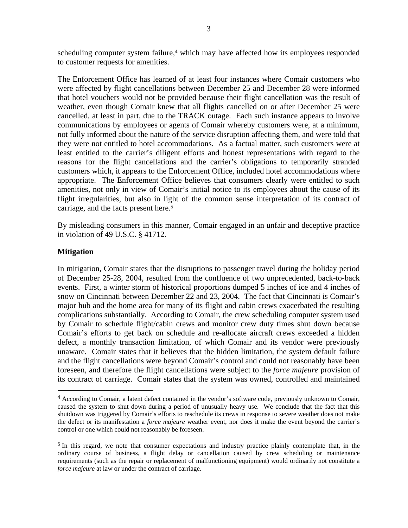scheduling computer system failure,<sup>4</sup> which may have affected how its employees responded to customer requests for amenities.

The Enforcement Office has learned of at least four instances where Comair customers who were affected by flight cancellations between December 25 and December 28 were informed that hotel vouchers would not be provided because their flight cancellation was the result of weather, even though Comair knew that all flights cancelled on or after December 25 were cancelled, at least in part, due to the TRACK outage. Each such instance appears to involve communications by employees or agents of Comair whereby customers were, at a minimum, not fully informed about the nature of the service disruption affecting them, and were told that they were not entitled to hotel accommodations. As a factual matter, such customers were at least entitled to the carrier's diligent efforts and honest representations with regard to the reasons for the flight cancellations and the carrier's obligations to temporarily stranded customers which, it appears to the Enforcement Office, included hotel accommodations where appropriate. The Enforcement Office believes that consumers clearly were entitled to such amenities, not only in view of Comair's initial notice to its employees about the cause of its flight irregularities, but also in light of the common sense interpretation of its contract of carriage, and the facts present here.5

By misleading consumers in this manner, Comair engaged in an unfair and deceptive practice in violation of 49 U.S.C. § 41712.

#### **Mitigation**

In mitigation, Comair states that the disruptions to passenger travel during the holiday period of December 25-28, 2004, resulted from the confluence of two unprecedented, back-to-back events. First, a winter storm of historical proportions dumped 5 inches of ice and 4 inches of snow on Cincinnati between December 22 and 23, 2004. The fact that Cincinnati is Comair's major hub and the home area for many of its flight and cabin crews exacerbated the resulting complications substantially. According to Comair, the crew scheduling computer system used by Comair to schedule flight/cabin crews and monitor crew duty times shut down because Comair's efforts to get back on schedule and re-allocate aircraft crews exceeded a hidden defect, a monthly transaction limitation, of which Comair and its vendor were previously unaware. Comair states that it believes that the hidden limitation, the system default failure and the flight cancellations were beyond Comair's control and could not reasonably have been foreseen, and therefore the flight cancellations were subject to the *force majeure* provision of its contract of carriage. Comair states that the system was owned, controlled and maintained

<sup>4</sup> According to Comair, a latent defect contained in the vendor's software code, previously unknown to Comair, caused the system to shut down during a period of unusually heavy use. We conclude that the fact that this shutdown was triggered by Comair's efforts to reschedule its crews in response to severe weather does not make the defect or its manifestation a *force majeure* weather event, nor does it make the event beyond the carrier's control or one which could not reasonably be foreseen.

<sup>5</sup> In this regard, we note that consumer expectations and industry practice plainly contemplate that, in the ordinary course of business, a flight delay or cancellation caused by crew scheduling or maintenance requirements (such as the repair or replacement of malfunctioning equipment) would ordinarily not constitute a *force majeure* at law or under the contract of carriage.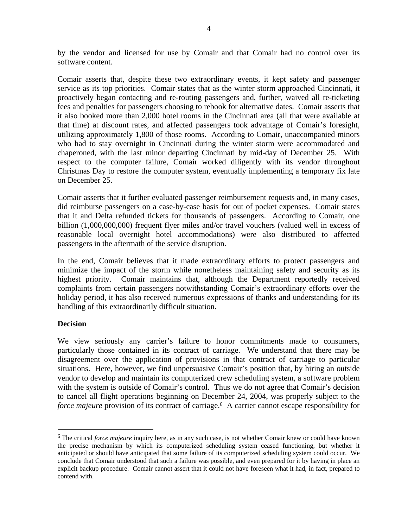by the vendor and licensed for use by Comair and that Comair had no control over its software content.

Comair asserts that, despite these two extraordinary events, it kept safety and passenger service as its top priorities. Comair states that as the winter storm approached Cincinnati, it proactively began contacting and re-routing passengers and, further, waived all re-ticketing fees and penalties for passengers choosing to rebook for alternative dates. Comair asserts that it also booked more than 2,000 hotel rooms in the Cincinnati area (all that were available at that time) at discount rates, and affected passengers took advantage of Comair's foresight, utilizing approximately 1,800 of those rooms. According to Comair, unaccompanied minors who had to stay overnight in Cincinnati during the winter storm were accommodated and chaperoned, with the last minor departing Cincinnati by mid-day of December 25. With respect to the computer failure, Comair worked diligently with its vendor throughout Christmas Day to restore the computer system, eventually implementing a temporary fix late on December 25.

Comair asserts that it further evaluated passenger reimbursement requests and, in many cases, did reimburse passengers on a case-by-case basis for out of pocket expenses. Comair states that it and Delta refunded tickets for thousands of passengers. According to Comair, one billion (1,000,000,000) frequent flyer miles and/or travel vouchers (valued well in excess of reasonable local overnight hotel accommodations) were also distributed to affected passengers in the aftermath of the service disruption.

In the end, Comair believes that it made extraordinary efforts to protect passengers and minimize the impact of the storm while nonetheless maintaining safety and security as its highest priority. Comair maintains that, although the Department reportedly received complaints from certain passengers notwithstanding Comair's extraordinary efforts over the holiday period, it has also received numerous expressions of thanks and understanding for its handling of this extraordinarily difficult situation.

### **Decision**

We view seriously any carrier's failure to honor commitments made to consumers, particularly those contained in its contract of carriage. We understand that there may be disagreement over the application of provisions in that contract of carriage to particular situations. Here, however, we find unpersuasive Comair's position that, by hiring an outside vendor to develop and maintain its computerized crew scheduling system, a software problem with the system is outside of Comair's control. Thus we do not agree that Comair's decision to cancel all flight operations beginning on December 24, 2004, was properly subject to the *force majeure* provision of its contract of carriage.6 A carrier cannot escape responsibility for

<sup>6</sup> The critical *force majeure* inquiry here, as in any such case, is not whether Comair knew or could have known the precise mechanism by which its computerized scheduling system ceased functioning, but whether it anticipated or should have anticipated that some failure of its computerized scheduling system could occur. We conclude that Comair understood that such a failure was possible, and even prepared for it by having in place an explicit backup procedure. Comair cannot assert that it could not have foreseen what it had, in fact, prepared to contend with.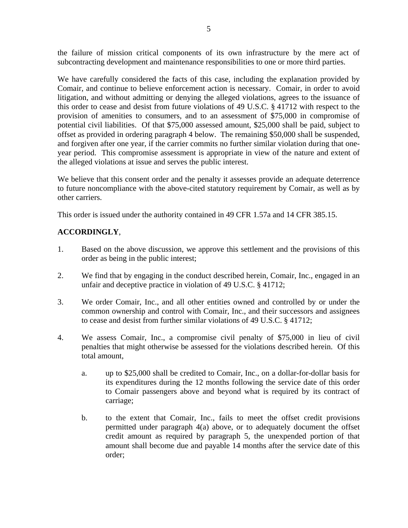the failure of mission critical components of its own infrastructure by the mere act of subcontracting development and maintenance responsibilities to one or more third parties.

We have carefully considered the facts of this case, including the explanation provided by Comair, and continue to believe enforcement action is necessary. Comair, in order to avoid litigation, and without admitting or denying the alleged violations, agrees to the issuance of this order to cease and desist from future violations of 49 U.S.C. § 41712 with respect to the provision of amenities to consumers, and to an assessment of \$75,000 in compromise of potential civil liabilities. Of that \$75,000 assessed amount, \$25,000 shall be paid, subject to offset as provided in ordering paragraph 4 below. The remaining \$50,000 shall be suspended, and forgiven after one year, if the carrier commits no further similar violation during that oneyear period. This compromise assessment is appropriate in view of the nature and extent of the alleged violations at issue and serves the public interest.

We believe that this consent order and the penalty it assesses provide an adequate deterrence to future noncompliance with the above-cited statutory requirement by Comair, as well as by other carriers.

This order is issued under the authority contained in 49 CFR 1.57a and 14 CFR 385.15.

# **ACCORDINGLY**,

- 1. Based on the above discussion, we approve this settlement and the provisions of this order as being in the public interest;
- 2. We find that by engaging in the conduct described herein, Comair, Inc., engaged in an unfair and deceptive practice in violation of 49 U.S.C. § 41712;
- 3. We order Comair, Inc., and all other entities owned and controlled by or under the common ownership and control with Comair, Inc., and their successors and assignees to cease and desist from further similar violations of 49 U.S.C. § 41712;
- 4. We assess Comair, Inc., a compromise civil penalty of \$75,000 in lieu of civil penalties that might otherwise be assessed for the violations described herein. Of this total amount,
	- a. up to \$25,000 shall be credited to Comair, Inc., on a dollar-for-dollar basis for its expenditures during the 12 months following the service date of this order to Comair passengers above and beyond what is required by its contract of carriage;
	- b. to the extent that Comair, Inc., fails to meet the offset credit provisions permitted under paragraph 4(a) above, or to adequately document the offset credit amount as required by paragraph 5, the unexpended portion of that amount shall become due and payable 14 months after the service date of this order;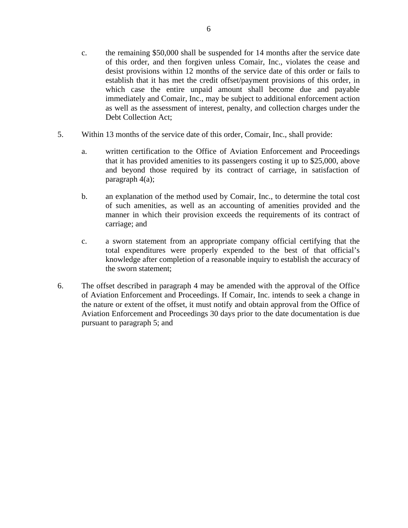- c. the remaining \$50,000 shall be suspended for 14 months after the service date of this order, and then forgiven unless Comair, Inc., violates the cease and desist provisions within 12 months of the service date of this order or fails to establish that it has met the credit offset/payment provisions of this order, in which case the entire unpaid amount shall become due and payable immediately and Comair, Inc., may be subject to additional enforcement action as well as the assessment of interest, penalty, and collection charges under the Debt Collection Act;
- 5. Within 13 months of the service date of this order, Comair, Inc., shall provide:
	- a. written certification to the Office of Aviation Enforcement and Proceedings that it has provided amenities to its passengers costing it up to \$25,000, above and beyond those required by its contract of carriage, in satisfaction of paragraph 4(a);
	- b. an explanation of the method used by Comair, Inc., to determine the total cost of such amenities, as well as an accounting of amenities provided and the manner in which their provision exceeds the requirements of its contract of carriage; and
	- c. a sworn statement from an appropriate company official certifying that the total expenditures were properly expended to the best of that official's knowledge after completion of a reasonable inquiry to establish the accuracy of the sworn statement;
- 6. The offset described in paragraph 4 may be amended with the approval of the Office of Aviation Enforcement and Proceedings. If Comair, Inc. intends to seek a change in the nature or extent of the offset, it must notify and obtain approval from the Office of Aviation Enforcement and Proceedings 30 days prior to the date documentation is due pursuant to paragraph 5; and